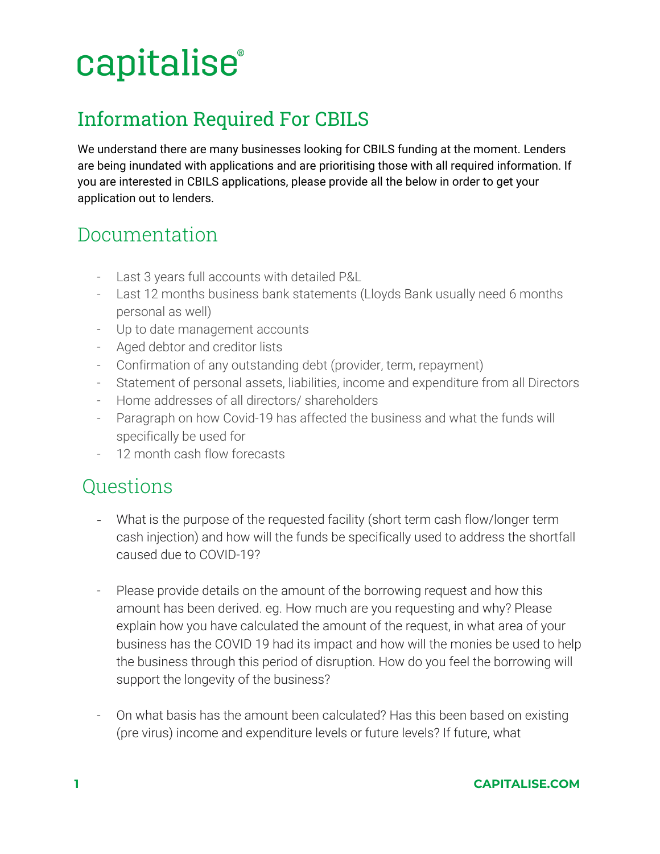# capitalise®

### Information Required For CBILS

We understand there are many businesses looking for CBILS funding at the moment. Lenders are being inundated with applications and are prioritising those with all required information. If you are interested in CBILS applications, please provide all the below in order to get your application out to lenders.

### Documentation

- Last 3 years full accounts with detailed P&L
- Last 12 months business bank statements (Lloyds Bank usually need 6 months personal as well)
- Up to date management accounts
- Aged debtor and creditor lists
- Confirmation of any outstanding debt (provider, term, repayment)
- Statement of personal assets, liabilities, income and expenditure from all Directors
- Home addresses of all directors/ shareholders
- Paragraph on how Covid-19 has affected the business and what the funds will specifically be used for
- 12 month cash flow forecasts

#### **Ouestions**

- What is the purpose of the requested facility (short term cash flow/longer term cash injection) and how will the funds be specifically used to address the shortfall caused due to COVID-19?
- Please provide details on the amount of the borrowing request and how this amount has been derived. eg. How much are you requesting and why? Please explain how you have calculated the amount of the request, in what area of your business has the COVID 19 had its impact and how will the monies be used to help the business through this period of disruption. How do you feel the borrowing will support the longevity of the business?
- On what basis has the amount been calculated? Has this been based on existing (pre virus) income and expenditure levels or future levels? If future, what